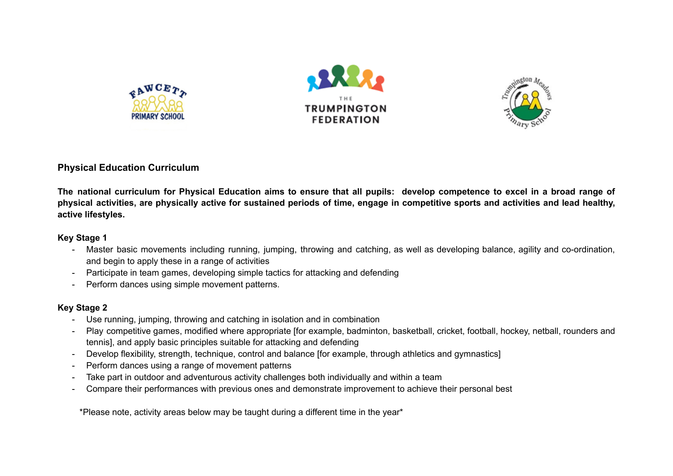





## **Physical Education Curriculum**

The national curriculum for Physical Education aims to ensure that all pupils: develop competence to excel in a broad range of physical activities, are physically active for sustained periods of time, engage in competitive sports and activities and lead healthy, **active lifestyles.**

## **Key Stage 1**

- Master basic movements including running, jumping, throwing and catching, as well as developing balance, agility and co-ordination, and begin to apply these in a range of activities
- Participate in team games, developing simple tactics for attacking and defending
- Perform dances using simple movement patterns.

## **Key Stage 2**

- Use running, jumping, throwing and catching in isolation and in combination
- Play competitive games, modified where appropriate [for example, badminton, basketball, cricket, football, hockey, netball, rounders and tennis], and apply basic principles suitable for attacking and defending
- Develop flexibility, strength, technique, control and balance [for example, through athletics and gymnastics]
- Perform dances using a range of movement patterns
- Take part in outdoor and adventurous activity challenges both individually and within a team
- Compare their performances with previous ones and demonstrate improvement to achieve their personal best

\*Please note, activity areas below may be taught during a different time in the year\*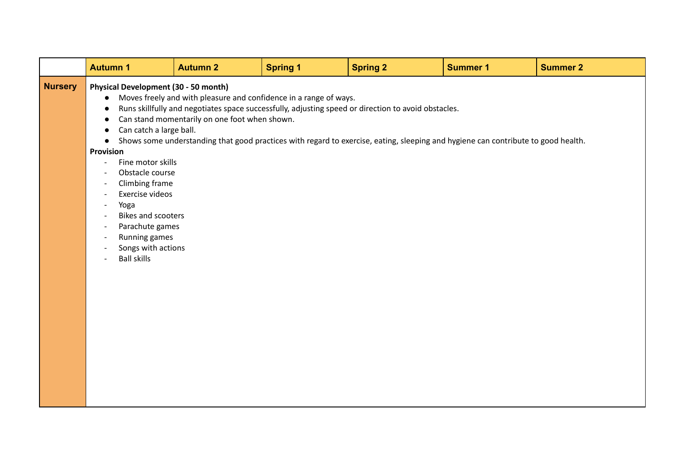|                | <b>Autumn 1</b>                                                                                                                                                                                                                                                                                                                                                 | <b>Autumn 2</b>                                                                                                    | <b>Spring 1</b> | <b>Spring 2</b>                                                                                                                                                                                                                          | <b>Summer 1</b> | <b>Summer 2</b> |
|----------------|-----------------------------------------------------------------------------------------------------------------------------------------------------------------------------------------------------------------------------------------------------------------------------------------------------------------------------------------------------------------|--------------------------------------------------------------------------------------------------------------------|-----------------|------------------------------------------------------------------------------------------------------------------------------------------------------------------------------------------------------------------------------------------|-----------------|-----------------|
| <b>Nursery</b> | <b>Physical Development (30 - 50 month)</b><br>Can catch a large ball.<br>Provision<br>Fine motor skills<br>$\overline{\phantom{a}}$<br>Obstacle course<br>Climbing frame<br>Exercise videos<br>Yoga<br>$\blacksquare$<br><b>Bikes and scooters</b><br>Parachute games<br>$\overline{\phantom{a}}$<br>Running games<br>Songs with actions<br><b>Ball skills</b> | Moves freely and with pleasure and confidence in a range of ways.<br>Can stand momentarily on one foot when shown. |                 | Runs skillfully and negotiates space successfully, adjusting speed or direction to avoid obstacles.<br>Shows some understanding that good practices with regard to exercise, eating, sleeping and hygiene can contribute to good health. |                 |                 |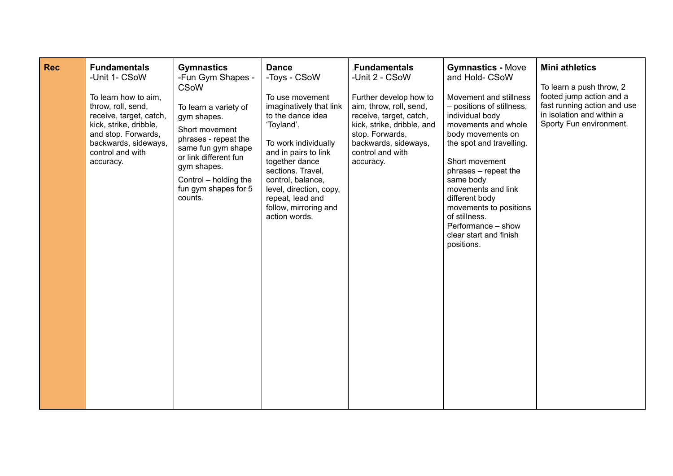| <b>Rec</b> | <b>Fundamentals</b><br>-Unit 1- CSoW<br>To learn how to aim,<br>throw, roll, send,<br>receive, target, catch,<br>kick, strike, dribble,<br>and stop. Forwards,<br>backwards, sideways,<br>control and with<br>accuracy. | <b>Gymnastics</b><br>-Fun Gym Shapes -<br><b>CSoW</b><br>To learn a variety of<br>gym shapes.<br>Short movement<br>phrases - repeat the<br>same fun gym shape<br>or link different fun<br>gym shapes.<br>Control – holding the<br>fun gym shapes for 5<br>counts. | <b>Dance</b><br>-Toys - CSoW<br>To use movement<br>imaginatively that link<br>to the dance idea<br>'Toyland'.<br>To work individually<br>and in pairs to link<br>together dance<br>sections. Travel,<br>control, balance,<br>level, direction, copy,<br>repeat, lead and<br>follow, mirroring and<br>action words. | <b>Fundamentals</b><br>-Unit 2 - CSoW<br>Further develop how to<br>aim, throw, roll, send,<br>receive, target, catch,<br>kick, strike, dribble, and<br>stop. Forwards,<br>backwards, sideways,<br>control and with<br>accuracy. | <b>Gymnastics - Move</b><br>and Hold- CSoW<br>Movement and stillness<br>- positions of stillness,<br>individual body<br>movements and whole<br>body movements on<br>the spot and travelling.<br>Short movement<br>phrases - repeat the<br>same body<br>movements and link<br>different body<br>movements to positions<br>of stillness.<br>Performance - show<br>clear start and finish<br>positions. | <b>Mini athletics</b><br>To learn a push throw, 2<br>footed jump action and a<br>fast running action and use<br>in isolation and within a<br>Sporty Fun environment. |
|------------|-------------------------------------------------------------------------------------------------------------------------------------------------------------------------------------------------------------------------|-------------------------------------------------------------------------------------------------------------------------------------------------------------------------------------------------------------------------------------------------------------------|--------------------------------------------------------------------------------------------------------------------------------------------------------------------------------------------------------------------------------------------------------------------------------------------------------------------|---------------------------------------------------------------------------------------------------------------------------------------------------------------------------------------------------------------------------------|------------------------------------------------------------------------------------------------------------------------------------------------------------------------------------------------------------------------------------------------------------------------------------------------------------------------------------------------------------------------------------------------------|----------------------------------------------------------------------------------------------------------------------------------------------------------------------|
|------------|-------------------------------------------------------------------------------------------------------------------------------------------------------------------------------------------------------------------------|-------------------------------------------------------------------------------------------------------------------------------------------------------------------------------------------------------------------------------------------------------------------|--------------------------------------------------------------------------------------------------------------------------------------------------------------------------------------------------------------------------------------------------------------------------------------------------------------------|---------------------------------------------------------------------------------------------------------------------------------------------------------------------------------------------------------------------------------|------------------------------------------------------------------------------------------------------------------------------------------------------------------------------------------------------------------------------------------------------------------------------------------------------------------------------------------------------------------------------------------------------|----------------------------------------------------------------------------------------------------------------------------------------------------------------------|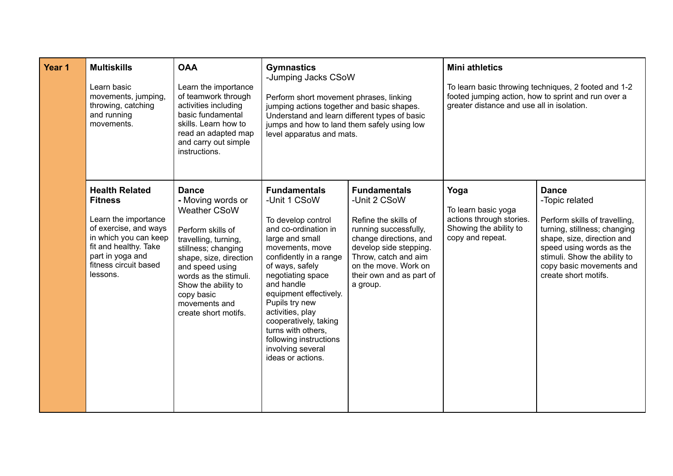| Year 1 | <b>Multiskills</b><br>Learn basic<br>movements, jumping,<br>throwing, catching<br>and running<br>movements.                                                                                         | <b>OAA</b><br>Learn the importance<br>of teamwork through<br>activities including<br>basic fundamental<br>skills. Learn how to<br>read an adapted map<br>and carry out simple<br>instructions.                                                                                   | <b>Gymnastics</b><br>-Jumping Jacks CSoW<br>Perform short movement phrases, linking<br>jumping actions together and basic shapes.<br>Understand and learn different types of basic<br>jumps and how to land them safely using low<br>level apparatus and mats.                                                                                                                             |                                                                                                                                                                                                                                  | <b>Mini athletics</b><br>greater distance and use all in isolation.                                   | To learn basic throwing techniques, 2 footed and 1-2<br>footed jumping action, how to sprint and run over a                                                                                                                                   |
|--------|-----------------------------------------------------------------------------------------------------------------------------------------------------------------------------------------------------|----------------------------------------------------------------------------------------------------------------------------------------------------------------------------------------------------------------------------------------------------------------------------------|--------------------------------------------------------------------------------------------------------------------------------------------------------------------------------------------------------------------------------------------------------------------------------------------------------------------------------------------------------------------------------------------|----------------------------------------------------------------------------------------------------------------------------------------------------------------------------------------------------------------------------------|-------------------------------------------------------------------------------------------------------|-----------------------------------------------------------------------------------------------------------------------------------------------------------------------------------------------------------------------------------------------|
|        | <b>Health Related</b><br><b>Fitness</b><br>Learn the importance<br>of exercise, and ways<br>in which you can keep<br>fit and healthy. Take<br>part in yoga and<br>fitness circuit based<br>lessons. | <b>Dance</b><br>- Moving words or<br><b>Weather CSoW</b><br>Perform skills of<br>travelling, turning,<br>stillness; changing<br>shape, size, direction<br>and speed using<br>words as the stimuli.<br>Show the ability to<br>copy basic<br>movements and<br>create short motifs. | <b>Fundamentals</b><br>-Unit 1 CSoW<br>To develop control<br>and co-ordination in<br>large and small<br>movements, move<br>confidently in a range<br>of ways, safely<br>negotiating space<br>and handle<br>equipment effectively.<br>Pupils try new<br>activities, play<br>cooperatively, taking<br>turns with others.<br>following instructions<br>involving several<br>ideas or actions. | <b>Fundamentals</b><br>-Unit 2 CSoW<br>Refine the skills of<br>running successfully,<br>change directions, and<br>develop side stepping.<br>Throw, catch and aim<br>on the move. Work on<br>their own and as part of<br>a group. | Yoga<br>To learn basic yoga<br>actions through stories.<br>Showing the ability to<br>copy and repeat. | <b>Dance</b><br>-Topic related<br>Perform skills of travelling,<br>turning, stillness; changing<br>shape, size, direction and<br>speed using words as the<br>stimuli. Show the ability to<br>copy basic movements and<br>create short motifs. |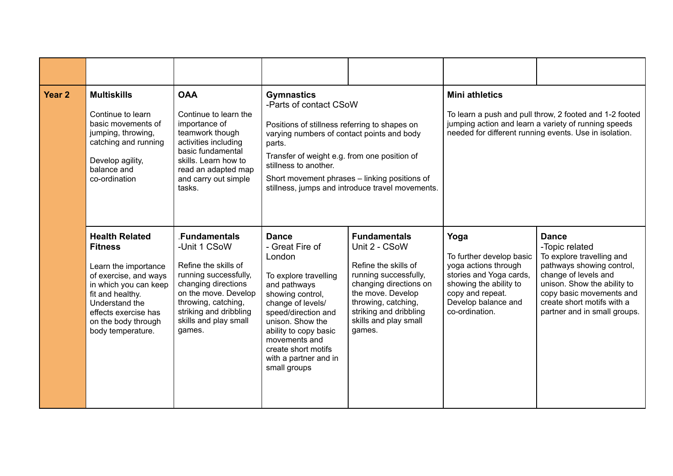| Year <sub>2</sub> | <b>Multiskills</b><br>Continue to learn<br>basic movements of<br>jumping, throwing,<br>catching and running<br>Develop agility,<br>balance and<br>co-ordination                                                             | <b>OAA</b><br>Continue to learn the<br>importance of<br>teamwork though<br>activities including<br>basic fundamental<br>skills. Learn how to<br>read an adapted map<br>and carry out simple<br>tasks.             | <b>Gymnastics</b><br>-Parts of contact CSoW<br>Positions of stillness referring to shapes on<br>varying numbers of contact points and body<br>parts.<br>Transfer of weight e.g. from one position of<br>stillness to another.                                                    | Short movement phrases - linking positions of<br>stillness, jumps and introduce travel movements.                                                                                                                        | <b>Mini athletics</b>                                                                                                                                                      | To learn a push and pull throw, 2 footed and 1-2 footed<br>jumping action and learn a variety of running speeds<br>needed for different running events. Use in isolation.                                                                 |
|-------------------|-----------------------------------------------------------------------------------------------------------------------------------------------------------------------------------------------------------------------------|-------------------------------------------------------------------------------------------------------------------------------------------------------------------------------------------------------------------|----------------------------------------------------------------------------------------------------------------------------------------------------------------------------------------------------------------------------------------------------------------------------------|--------------------------------------------------------------------------------------------------------------------------------------------------------------------------------------------------------------------------|----------------------------------------------------------------------------------------------------------------------------------------------------------------------------|-------------------------------------------------------------------------------------------------------------------------------------------------------------------------------------------------------------------------------------------|
|                   | <b>Health Related</b><br><b>Fitness</b><br>Learn the importance<br>of exercise, and ways<br>in which you can keep<br>fit and healthy.<br>Understand the<br>effects exercise has<br>on the body through<br>body temperature. | .Fundamentals<br>-Unit 1 CSoW<br>Refine the skills of<br>running successfully,<br>changing directions<br>on the move. Develop<br>throwing, catching,<br>striking and dribbling<br>skills and play small<br>games. | <b>Dance</b><br>- Great Fire of<br>London<br>To explore travelling<br>and pathways<br>showing control,<br>change of levels/<br>speed/direction and<br>unison. Show the<br>ability to copy basic<br>movements and<br>create short motifs<br>with a partner and in<br>small groups | <b>Fundamentals</b><br>Unit 2 - CSoW<br>Refine the skills of<br>running successfully,<br>changing directions on<br>the move. Develop<br>throwing, catching,<br>striking and dribbling<br>skills and play small<br>games. | Yoga<br>To further develop basic<br>yoga actions through<br>stories and Yoga cards,<br>showing the ability to<br>copy and repeat.<br>Develop balance and<br>co-ordination. | <b>Dance</b><br>-Topic related<br>To explore travelling and<br>pathways showing control,<br>change of levels and<br>unison. Show the ability to<br>copy basic movements and<br>create short motifs with a<br>partner and in small groups. |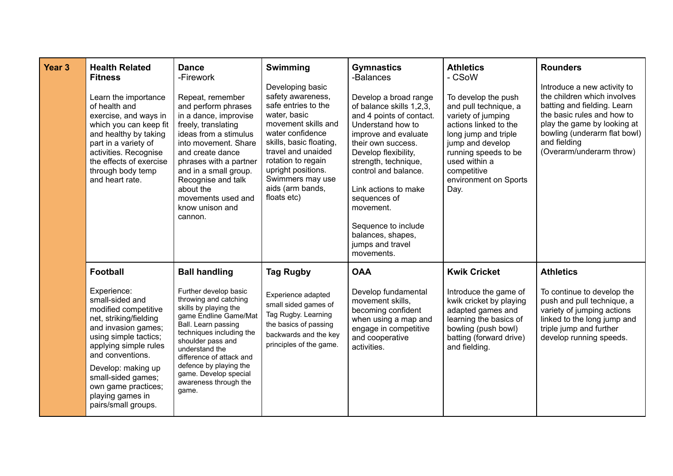| Year <sub>3</sub> | <b>Health Related</b><br><b>Fitness</b><br>Learn the importance<br>of health and<br>exercise, and ways in<br>which you can keep fit<br>and healthy by taking<br>part in a variety of<br>activities. Recognise<br>the effects of exercise<br>through body temp<br>and heart rate.                               | <b>Dance</b><br>-Firework<br>Repeat, remember<br>and perform phrases<br>in a dance, improvise<br>freely, translating<br>ideas from a stimulus<br>into movement. Share<br>and create dance<br>phrases with a partner<br>and in a small group.<br>Recognise and talk<br>about the<br>movements used and<br>know unison and<br>cannon. | Swimming<br>Developing basic<br>safety awareness,<br>safe entries to the<br>water, basic<br>movement skills and<br>water confidence<br>skills, basic floating,<br>travel and unaided<br>rotation to regain<br>upright positions.<br>Swimmers may use<br>aids (arm bands,<br>floats etc) | <b>Gymnastics</b><br>-Balances<br>Develop a broad range<br>of balance skills 1,2,3,<br>and 4 points of contact.<br>Understand how to<br>improve and evaluate<br>their own success.<br>Develop flexibility,<br>strength, technique,<br>control and balance.<br>Link actions to make<br>sequences of<br>movement.<br>Sequence to include<br>balances, shapes,<br>jumps and travel<br>movements. | <b>Athletics</b><br>- CSoW<br>To develop the push<br>and pull technique, a<br>variety of jumping<br>actions linked to the<br>long jump and triple<br>jump and develop<br>running speeds to be<br>used within a<br>competitive<br>environment on Sports<br>Day. | <b>Rounders</b><br>Introduce a new activity to<br>the children which involves<br>batting and fielding. Learn<br>the basic rules and how to<br>play the game by looking at<br>bowling (underarm flat bowl)<br>and fielding<br>(Overarm/underarm throw) |
|-------------------|----------------------------------------------------------------------------------------------------------------------------------------------------------------------------------------------------------------------------------------------------------------------------------------------------------------|-------------------------------------------------------------------------------------------------------------------------------------------------------------------------------------------------------------------------------------------------------------------------------------------------------------------------------------|-----------------------------------------------------------------------------------------------------------------------------------------------------------------------------------------------------------------------------------------------------------------------------------------|-----------------------------------------------------------------------------------------------------------------------------------------------------------------------------------------------------------------------------------------------------------------------------------------------------------------------------------------------------------------------------------------------|----------------------------------------------------------------------------------------------------------------------------------------------------------------------------------------------------------------------------------------------------------------|-------------------------------------------------------------------------------------------------------------------------------------------------------------------------------------------------------------------------------------------------------|
|                   | <b>Football</b><br>Experience:<br>small-sided and<br>modified competitive<br>net, striking/fielding<br>and invasion games;<br>using simple tactics;<br>applying simple rules<br>and conventions.<br>Develop: making up<br>small-sided games;<br>own game practices;<br>playing games in<br>pairs/small groups. | <b>Ball handling</b><br>Further develop basic<br>throwing and catching<br>skills by playing the<br>game Endline Game/Mat<br>Ball. Learn passing<br>techniques including the<br>shoulder pass and<br>understand the<br>difference of attack and<br>defence by playing the<br>game. Develop special<br>awareness through the<br>game. | <b>Tag Rugby</b><br>Experience adapted<br>small sided games of<br>Tag Rugby. Learning<br>the basics of passing<br>backwards and the key<br>principles of the game.                                                                                                                      | <b>OAA</b><br>Develop fundamental<br>movement skills,<br>becoming confident<br>when using a map and<br>engage in competitive<br>and cooperative<br>activities.                                                                                                                                                                                                                                | <b>Kwik Cricket</b><br>Introduce the game of<br>kwik cricket by playing<br>adapted games and<br>learning the basics of<br>bowling (push bowl)<br>batting (forward drive)<br>and fielding.                                                                      | <b>Athletics</b><br>To continue to develop the<br>push and pull technique, a<br>variety of jumping actions<br>linked to the long jump and<br>triple jump and further<br>develop running speeds.                                                       |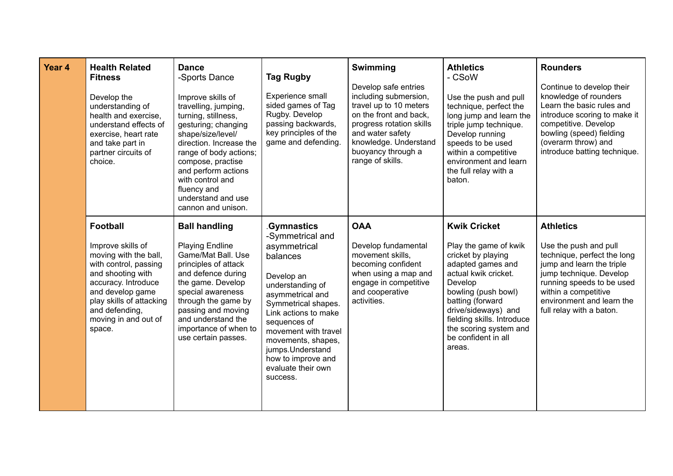| Year 4 | <b>Health Related</b><br><b>Fitness</b><br>Develop the<br>understanding of<br>health and exercise,<br>understand effects of<br>exercise, heart rate<br>and take part in<br>partner circuits of<br>choice.                              | <b>Dance</b><br>-Sports Dance<br>Improve skills of<br>travelling, jumping,<br>turning, stillness,<br>gesturing; changing<br>shape/size/level/<br>direction. Increase the<br>range of body actions;<br>compose, practise<br>and perform actions<br>with control and<br>fluency and<br>understand and use<br>cannon and unison. | <b>Tag Rugby</b><br>Experience small<br>sided games of Tag<br>Rugby. Develop<br>passing backwards,<br>key principles of the<br>game and defending.                                                                                                                                                               | <b>Swimming</b><br>Develop safe entries<br>including submersion,<br>travel up to 10 meters<br>on the front and back,<br>progress rotation skills<br>and water safety<br>knowledge. Understand<br>buoyancy through a<br>range of skills. | <b>Athletics</b><br>- CSoW<br>Use the push and pull<br>technique, perfect the<br>long jump and learn the<br>triple jump technique.<br>Develop running<br>speeds to be used<br>within a competitive<br>environment and learn<br>the full relay with a<br>baton.                        | <b>Rounders</b><br>Continue to develop their<br>knowledge of rounders<br>Learn the basic rules and<br>introduce scoring to make it<br>competitive. Develop<br>bowling (speed) fielding<br>(overarm throw) and<br>introduce batting technique.  |
|--------|----------------------------------------------------------------------------------------------------------------------------------------------------------------------------------------------------------------------------------------|-------------------------------------------------------------------------------------------------------------------------------------------------------------------------------------------------------------------------------------------------------------------------------------------------------------------------------|------------------------------------------------------------------------------------------------------------------------------------------------------------------------------------------------------------------------------------------------------------------------------------------------------------------|-----------------------------------------------------------------------------------------------------------------------------------------------------------------------------------------------------------------------------------------|---------------------------------------------------------------------------------------------------------------------------------------------------------------------------------------------------------------------------------------------------------------------------------------|------------------------------------------------------------------------------------------------------------------------------------------------------------------------------------------------------------------------------------------------|
|        | <b>Football</b><br>Improve skills of<br>moving with the ball,<br>with control, passing<br>and shooting with<br>accuracy. Introduce<br>and develop game<br>play skills of attacking<br>and defending,<br>moving in and out of<br>space. | <b>Ball handling</b><br><b>Playing Endline</b><br>Game/Mat Ball. Use<br>principles of attack<br>and defence during<br>the game. Develop<br>special awareness<br>through the game by<br>passing and moving<br>and understand the<br>importance of when to<br>use certain passes.                                               | <b>Gymnastics</b><br>-Symmetrical and<br>asymmetrical<br>balances<br>Develop an<br>understanding of<br>asymmetrical and<br>Symmetrical shapes.<br>Link actions to make<br>sequences of<br>movement with travel<br>movements, shapes,<br>jumps.Understand<br>how to improve and<br>evaluate their own<br>success. | <b>OAA</b><br>Develop fundamental<br>movement skills,<br>becoming confident<br>when using a map and<br>engage in competitive<br>and cooperative<br>activities.                                                                          | <b>Kwik Cricket</b><br>Play the game of kwik<br>cricket by playing<br>adapted games and<br>actual kwik cricket.<br>Develop<br>bowling (push bowl)<br>batting (forward<br>drive/sideways) and<br>fielding skills. Introduce<br>the scoring system and<br>be confident in all<br>areas. | <b>Athletics</b><br>Use the push and pull<br>technique, perfect the long<br>jump and learn the triple<br>jump technique. Develop<br>running speeds to be used<br>within a competitive<br>environment and learn the<br>full relay with a baton. |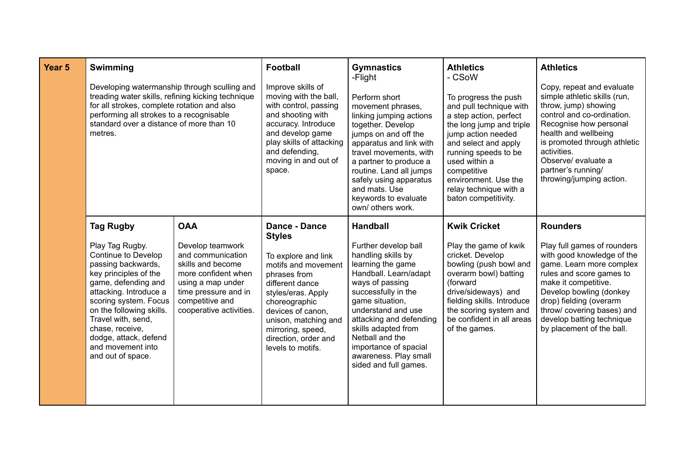| Year <sub>5</sub> | Swimming<br>Developing watermanship through sculling and<br>treading water skills, refining kicking technique<br>for all strokes, complete rotation and also<br>performing all strokes to a recognisable<br>standard over a distance of more than 10<br>metres.                                                             |                                                                                                                                                                                            | <b>Football</b><br>Improve skills of<br>moving with the ball,<br>with control, passing<br>and shooting with<br>accuracy. Introduce<br>and develop game<br>play skills of attacking<br>and defending,<br>moving in and out of<br>space.                                       | <b>Gymnastics</b><br>-Flight<br>Perform short<br>movement phrases,<br>linking jumping actions<br>together. Develop<br>jumps on and off the<br>apparatus and link with<br>travel movements, with<br>a partner to produce a<br>routine. Land all jumps<br>safely using apparatus<br>and mats. Use<br>keywords to evaluate<br>own/ others work.   | <b>Athletics</b><br>- CSoW<br>To progress the push<br>and pull technique with<br>a step action, perfect<br>the long jump and triple<br>jump action needed<br>and select and apply<br>running speeds to be<br>used within a<br>competitive<br>environment. Use the<br>relay technique with a<br>baton competitivity. | <b>Athletics</b><br>Copy, repeat and evaluate<br>simple athletic skills (run,<br>throw, jump) showing<br>control and co-ordination.<br>Recognise how personal<br>health and wellbeing<br>is promoted through athletic<br>activities.<br>Observe/ evaluate a<br>partner's running/<br>throwing/jumping action. |
|-------------------|-----------------------------------------------------------------------------------------------------------------------------------------------------------------------------------------------------------------------------------------------------------------------------------------------------------------------------|--------------------------------------------------------------------------------------------------------------------------------------------------------------------------------------------|------------------------------------------------------------------------------------------------------------------------------------------------------------------------------------------------------------------------------------------------------------------------------|------------------------------------------------------------------------------------------------------------------------------------------------------------------------------------------------------------------------------------------------------------------------------------------------------------------------------------------------|---------------------------------------------------------------------------------------------------------------------------------------------------------------------------------------------------------------------------------------------------------------------------------------------------------------------|---------------------------------------------------------------------------------------------------------------------------------------------------------------------------------------------------------------------------------------------------------------------------------------------------------------|
|                   | <b>Tag Rugby</b><br>Play Tag Rugby.<br>Continue to Develop<br>passing backwards,<br>key principles of the<br>game, defending and<br>attacking. Introduce a<br>scoring system. Focus<br>on the following skills.<br>Travel with, send,<br>chase, receive,<br>dodge, attack, defend<br>and movement into<br>and out of space. | <b>OAA</b><br>Develop teamwork<br>and communication<br>skills and become<br>more confident when<br>using a map under<br>time pressure and in<br>competitive and<br>cooperative activities. | <b>Dance - Dance</b><br><b>Styles</b><br>To explore and link<br>motifs and movement<br>phrases from<br>different dance<br>styles/eras. Apply<br>choreographic<br>devices of canon,<br>unison, matching and<br>mirroring, speed,<br>direction, order and<br>levels to motifs. | <b>Handball</b><br>Further develop ball<br>handling skills by<br>learning the game<br>Handball. Learn/adapt<br>ways of passing<br>successfully in the<br>game situation,<br>understand and use<br>attacking and defending<br>skills adapted from<br>Netball and the<br>importance of spacial<br>awareness. Play small<br>sided and full games. | <b>Kwik Cricket</b><br>Play the game of kwik<br>cricket. Develop<br>bowling (push bowl and<br>overarm bowl) batting<br>(forward<br>drive/sideways) and<br>fielding skills. Introduce<br>the scoring system and<br>be confident in all areas<br>of the games.                                                        | <b>Rounders</b><br>Play full games of rounders<br>with good knowledge of the<br>game. Learn more complex<br>rules and score games to<br>make it competitive.<br>Develop bowling (donkey<br>drop) fielding (overarm<br>throw/ covering bases) and<br>develop batting technique<br>by placement of the ball.    |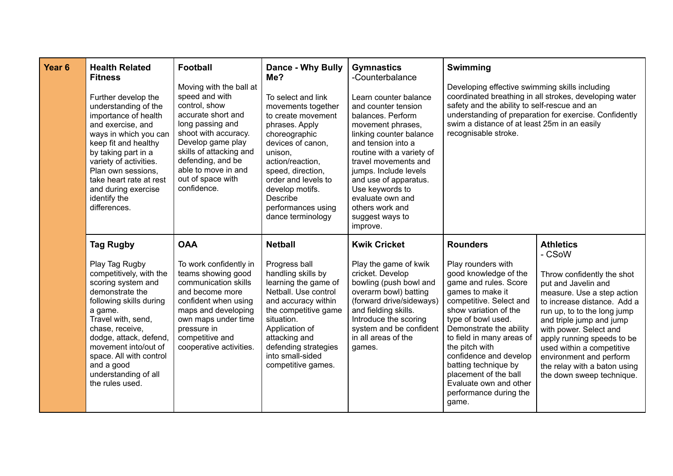| Year <sub>6</sub> | <b>Health Related</b><br><b>Fitness</b><br>Further develop the<br>understanding of the<br>importance of health<br>and exercise, and<br>ways in which you can<br>keep fit and healthy<br>by taking part in a<br>variety of activities.<br>Plan own sessions,<br>take heart rate at rest<br>and during exercise<br>identify the<br>differences. | <b>Football</b><br>Moving with the ball at<br>speed and with<br>control, show<br>accurate short and<br>long passing and<br>shoot with accuracy.<br>Develop game play<br>skills of attacking and<br>defending, and be<br>able to move in and<br>out of space with<br>confidence. | <b>Dance - Why Bully</b><br>Me?<br>To select and link<br>movements together<br>to create movement<br>phrases. Apply<br>choreographic<br>devices of canon,<br>unison,<br>action/reaction,<br>speed, direction,<br>order and levels to<br>develop motifs.<br>Describe<br>performances using<br>dance terminology | <b>Gymnastics</b><br>-Counterbalance<br>Learn counter balance<br>and counter tension<br>balances. Perform<br>movement phrases,<br>linking counter balance<br>and tension into a<br>routine with a variety of<br>travel movements and<br>jumps. Include levels<br>and use of apparatus.<br>Use keywords to<br>evaluate own and<br>others work and<br>suggest ways to<br>improve. | <b>Swimming</b><br>Developing effective swimming skills including<br>safety and the ability to self-rescue and an<br>swim a distance of at least 25m in an easily<br>recognisable stroke.                                                                                                                                                                                                               | coordinated breathing in all strokes, developing water<br>understanding of preparation for exercise. Confidently                                                                                                                                                                                                                                                                     |
|-------------------|-----------------------------------------------------------------------------------------------------------------------------------------------------------------------------------------------------------------------------------------------------------------------------------------------------------------------------------------------|---------------------------------------------------------------------------------------------------------------------------------------------------------------------------------------------------------------------------------------------------------------------------------|----------------------------------------------------------------------------------------------------------------------------------------------------------------------------------------------------------------------------------------------------------------------------------------------------------------|---------------------------------------------------------------------------------------------------------------------------------------------------------------------------------------------------------------------------------------------------------------------------------------------------------------------------------------------------------------------------------|---------------------------------------------------------------------------------------------------------------------------------------------------------------------------------------------------------------------------------------------------------------------------------------------------------------------------------------------------------------------------------------------------------|--------------------------------------------------------------------------------------------------------------------------------------------------------------------------------------------------------------------------------------------------------------------------------------------------------------------------------------------------------------------------------------|
|                   | <b>Tag Rugby</b><br>Play Tag Rugby<br>competitively, with the<br>scoring system and<br>demonstrate the<br>following skills during<br>a game.<br>Travel with, send,<br>chase, receive,<br>dodge, attack, defend,<br>movement into/out of<br>space. All with control<br>and a good<br>understanding of all<br>the rules used.                   | <b>OAA</b><br>To work confidently in<br>teams showing good<br>communication skills<br>and become more<br>confident when using<br>maps and developing<br>own maps under time<br>pressure in<br>competitive and<br>cooperative activities.                                        | <b>Netball</b><br>Progress ball<br>handling skills by<br>learning the game of<br>Netball. Use control<br>and accuracy within<br>the competitive game<br>situation.<br>Application of<br>attacking and<br>defending strategies<br>into small-sided<br>competitive games.                                        | <b>Kwik Cricket</b><br>Play the game of kwik<br>cricket. Develop<br>bowling (push bowl and<br>overarm bowl) batting<br>(forward drive/sideways)<br>and fielding skills.<br>Introduce the scoring<br>system and be confident<br>in all areas of the<br>games.                                                                                                                    | <b>Rounders</b><br>Play rounders with<br>good knowledge of the<br>game and rules. Score<br>games to make it<br>competitive. Select and<br>show variation of the<br>type of bowl used.<br>Demonstrate the ability<br>to field in many areas of<br>the pitch with<br>confidence and develop<br>batting technique by<br>placement of the ball<br>Evaluate own and other<br>performance during the<br>game. | <b>Athletics</b><br>- CSoW<br>Throw confidently the shot<br>put and Javelin and<br>measure. Use a step action<br>to increase distance. Add a<br>run up, to to the long jump<br>and triple jump and jump<br>with power. Select and<br>apply running speeds to be<br>used within a competitive<br>environment and perform<br>the relay with a baton using<br>the down sweep technique. |